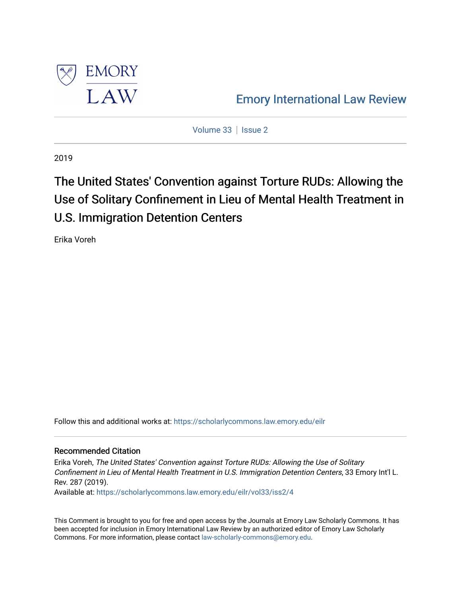

[Emory International Law Review](https://scholarlycommons.law.emory.edu/eilr) 

[Volume 33](https://scholarlycommons.law.emory.edu/eilr/vol33) | [Issue 2](https://scholarlycommons.law.emory.edu/eilr/vol33/iss2)

2019

# The United States' Convention against Torture RUDs: Allowing the Use of Solitary Confinement in Lieu of Mental Health Treatment in U.S. Immigration Detention Centers

Erika Voreh

Follow this and additional works at: [https://scholarlycommons.law.emory.edu/eilr](https://scholarlycommons.law.emory.edu/eilr?utm_source=scholarlycommons.law.emory.edu%2Feilr%2Fvol33%2Fiss2%2F4&utm_medium=PDF&utm_campaign=PDFCoverPages)

## Recommended Citation

Erika Voreh, The United States' Convention against Torture RUDs: Allowing the Use of Solitary Confinement in Lieu of Mental Health Treatment in U.S. Immigration Detention Centers, 33 Emory Int'l L. Rev. 287 (2019).

Available at: [https://scholarlycommons.law.emory.edu/eilr/vol33/iss2/4](https://scholarlycommons.law.emory.edu/eilr/vol33/iss2/4?utm_source=scholarlycommons.law.emory.edu%2Feilr%2Fvol33%2Fiss2%2F4&utm_medium=PDF&utm_campaign=PDFCoverPages) 

This Comment is brought to you for free and open access by the Journals at Emory Law Scholarly Commons. It has been accepted for inclusion in Emory International Law Review by an authorized editor of Emory Law Scholarly Commons. For more information, please contact [law-scholarly-commons@emory.edu](mailto:law-scholarly-commons@emory.edu).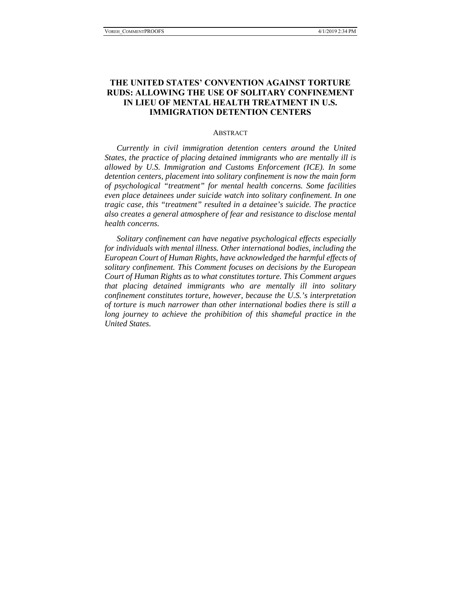# **THE UNITED STATES' CONVENTION AGAINST TORTURE RUDS: ALLOWING THE USE OF SOLITARY CONFINEMENT IN LIEU OF MENTAL HEALTH TREATMENT IN U.S. IMMIGRATION DETENTION CENTERS**

#### **ABSTRACT**

*Currently in civil immigration detention centers around the United States, the practice of placing detained immigrants who are mentally ill is allowed by U.S. Immigration and Customs Enforcement (ICE). In some detention centers, placement into solitary confinement is now the main form of psychological "treatment" for mental health concerns. Some facilities even place detainees under suicide watch into solitary confinement. In one tragic case, this "treatment" resulted in a detainee's suicide. The practice also creates a general atmosphere of fear and resistance to disclose mental health concerns.* 

*Solitary confinement can have negative psychological effects especially for individuals with mental illness. Other international bodies, including the European Court of Human Rights, have acknowledged the harmful effects of solitary confinement. This Comment focuses on decisions by the European Court of Human Rights as to what constitutes torture. This Comment argues that placing detained immigrants who are mentally ill into solitary confinement constitutes torture, however, because the U.S.'s interpretation of torture is much narrower than other international bodies there is still a long journey to achieve the prohibition of this shameful practice in the United States.*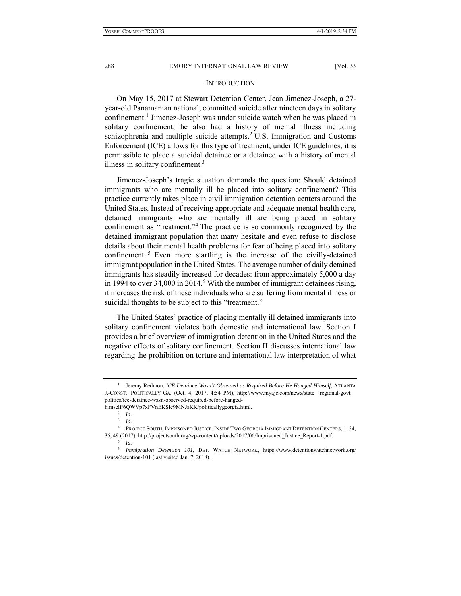#### **INTRODUCTION**

On May 15, 2017 at Stewart Detention Center, Jean Jimenez-Joseph, a 27 year-old Panamanian national, committed suicide after nineteen days in solitary confinement.<sup>1</sup> Jimenez-Joseph was under suicide watch when he was placed in solitary confinement; he also had a history of mental illness including schizophrenia and multiple suicide attempts. ${}^{2}$  U.S. Immigration and Customs Enforcement (ICE) allows for this type of treatment; under ICE guidelines, it is permissible to place a suicidal detainee or a detainee with a history of mental illness in solitary confinement.<sup>3</sup>

Jimenez-Joseph's tragic situation demands the question: Should detained immigrants who are mentally ill be placed into solitary confinement? This practice currently takes place in civil immigration detention centers around the United States. Instead of receiving appropriate and adequate mental health care, detained immigrants who are mentally ill are being placed in solitary confinement as "treatment."4 The practice is so commonly recognized by the detained immigrant population that many hesitate and even refuse to disclose details about their mental health problems for fear of being placed into solitary confinement.<sup>5</sup> Even more startling is the increase of the civilly-detained immigrant population in the United States. The average number of daily detained immigrants has steadily increased for decades: from approximately 5,000 a day in 1994 to over  $34,000$  in  $2014.6$  With the number of immigrant detainees rising, it increases the risk of these individuals who are suffering from mental illness or suicidal thoughts to be subject to this "treatment."

The United States' practice of placing mentally ill detained immigrants into solitary confinement violates both domestic and international law. Section I provides a brief overview of immigration detention in the United States and the negative effects of solitary confinement. Section II discusses international law regarding the prohibition on torture and international law interpretation of what

<sup>1</sup> Jeremy Redmon, *ICE Detainee Wasn't Observed as Required Before He Hanged Himself*, ATLANTA J.-CONST.: POLITICALLY GA. (Oct. 4, 2017, 4:54 PM), http://www.myajc.com/news/state—regional-govt politics/ice-detainee-wasn-observed-required-before-hanged-

himself/6QWVp7xFVnEKSIc9MNJsKK/politicallygeorgia.html. 2 *Id.*

<sup>3</sup> *Id.* 

<sup>4</sup> PROJECT SOUTH, IMPRISONED JUSTICE: INSIDE TWO GEORGIA IMMIGRANT DETENTION CENTERS, 1, 34, 36, 49 (2017), http://projectsouth.org/wp-content/uploads/2017/06/Imprisoned\_Justice\_Report-1.pdf. 5 *Id.*

<sup>6</sup> *Immigration Detention 101*, DET. WATCH NETWORK, https://www.detentionwatchnetwork.org/ issues/detention-101 (last visited Jan. 7, 2018).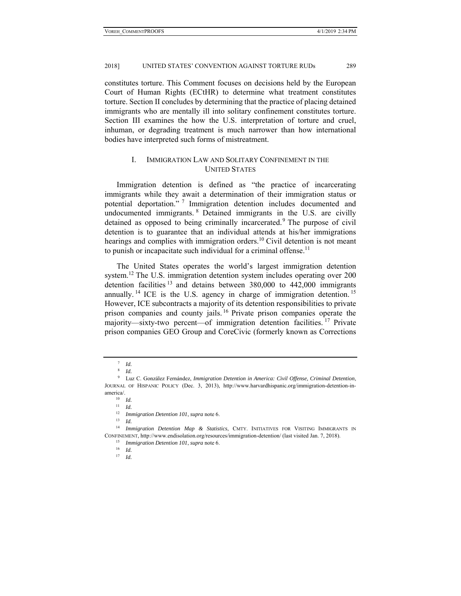constitutes torture. This Comment focuses on decisions held by the European Court of Human Rights (ECtHR) to determine what treatment constitutes torture. Section II concludes by determining that the practice of placing detained immigrants who are mentally ill into solitary confinement constitutes torture. Section III examines the how the U.S. interpretation of torture and cruel, inhuman, or degrading treatment is much narrower than how international bodies have interpreted such forms of mistreatment.

## I. IMMIGRATION LAW AND SOLITARY CONFINEMENT IN THE UNITED STATES

Immigration detention is defined as "the practice of incarcerating immigrants while they await a determination of their immigration status or potential deportation." 7 Immigration detention includes documented and undocumented immigrants. 8 Detained immigrants in the U.S. are civilly detained as opposed to being criminally incarcerated.<sup>9</sup> The purpose of civil detention is to guarantee that an individual attends at his/her immigrations hearings and complies with immigration orders.<sup>10</sup> Civil detention is not meant to punish or incapacitate such individual for a criminal offense.<sup>11</sup>

The United States operates the world's largest immigration detention system.<sup>12</sup> The U.S. immigration detention system includes operating over 200 detention facilities <sup>13</sup> and detains between 380,000 to 442,000 immigrants annually. <sup>14</sup> ICE is the U.S. agency in charge of immigration detention. <sup>15</sup> However, ICE subcontracts a majority of its detention responsibilities to private prison companies and county jails. 16 Private prison companies operate the majority—sixty-two percent—of immigration detention facilities.<sup>17</sup> Private prison companies GEO Group and CoreCivic (formerly known as Corrections

 $^7$  *Id.* 

<sup>8</sup> *Id.*

<sup>9</sup> Luz C. González Fernández, *Immigration Detention in America: Civil Offense, Criminal Detention*, JOURNAL OF HISPANIC POLICY (Dec. 3, 2013), http://www.harvardhispanic.org/immigration-detention-inamerica<sup>/</sup>.<br><sup>10</sup> *Id.* 

<sup>11</sup> *Id.* 

<sup>12</sup> *Immigration Detention 101*, *supra* note 6. 13 *Id.*

<sup>&</sup>lt;sup>14</sup> *Immigration Detention Map & Statistics*, CMTY. INITIATIVES FOR VISITING IMMIGRANTS IN CONFINEMENT, http://www.endisolation.org/resources/immigration-detention/ (last visited Jan. 7, 2018). 15 *Immigration Detention 101*, *supra* note 6. 16 *Id.*

<sup>17</sup> *Id.*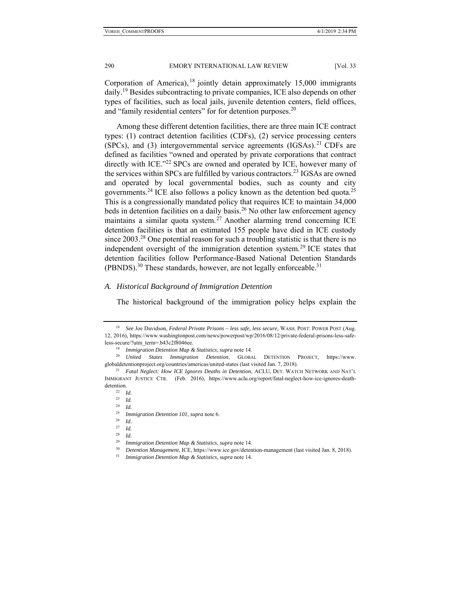Corporation of America),  $18$  jointly detain approximately 15,000 immigrants daily.<sup>19</sup> Besides subcontracting to private companies, ICE also depends on other types of facilities, such as local jails, juvenile detention centers, field offices, and "family residential centers" for for detention purposes.<sup>20</sup>

Among these different detention facilities, there are three main ICE contract types: (1) contract detention facilities (CDFs), (2) service processing centers (SPCs), and (3) intergovernmental service agreements  $(IGSAs)<sup>21</sup>$  CDFs are defined as facilities "owned and operated by private corporations that contract directly with ICE."<sup>22</sup> SPCs are owned and operated by ICE, however many of the services within SPCs are fulfilled by various contractors.<sup>23</sup> IGSAs are owned and operated by local governmental bodies, such as county and city governments.<sup>24</sup> ICE also follows a policy known as the detention bed quota.<sup>25</sup> This is a congressionally mandated policy that requires ICE to maintain 34,000 beds in detention facilities on a daily basis.<sup>26</sup> No other law enforcement agency maintains a similar quota system.<sup>27</sup> Another alarming trend concerning ICE detention facilities is that an estimated 155 people have died in ICE custody since  $2003<sup>28</sup>$  One potential reason for such a troubling statistic is that there is no independent oversight of the immigration detention system.<sup>29</sup> ICE states that detention facilities follow Performance-Based National Detention Standards (PBNDS).<sup>30</sup> These standards, however, are not legally enforceable.<sup>31</sup>

#### *A. Historical Background of Immigration Detention*

The historical background of the immigration policy helps explain the

<sup>24</sup> *Id.*

<sup>18</sup> *See* Joe Davidson, *Federal Private Prisons – less safe, less secure*, WASH. POST: POWER POST (Aug. 12, 2016), https://www.washingtonpost.com/news/powerpost/wp/2016/08/12/private-federal-prisons-less-safeless-secure/?utm\_term=.b43c2f8046ee. 19 *Immigration Detention Map & Statistics*, *supra* note 14. 20 *United States Immigration Detention*, GLOBAL DETENTION PROJECT, https://www.

globaldetentionproject.org/countries/americas/united-states (last visited Jan. 7, 2018). 21 *Fatal Neglect: How ICE Ignores Deaths in Detention*, ACLU, DET. WATCH NETWORK AND NAT'L

IMMIGRANT JUSTICE CTR. (Feb. 2016), https://www.aclu.org/report/fatal-neglect-how-ice-ignores-deathdetention. 22 *Id.*

 $\frac{23}{24}$  *Id.* 

<sup>25</sup> *Immigration Detention 101*, *supra* note 6. 26 *Id.*

<sup>27</sup> *Id.*

 $rac{28}{29}$  *Id.* 

<sup>&</sup>lt;sup>29</sup> Immigration Detention Map & Statistics, supra note 14.<br><sup>30</sup> Detention Management, ICE, https://www.ice.gov/detention-management (last visited Jan. 8, 2018).<br><sup>31</sup> Immigration Detention Map & Statistics, supra note 14.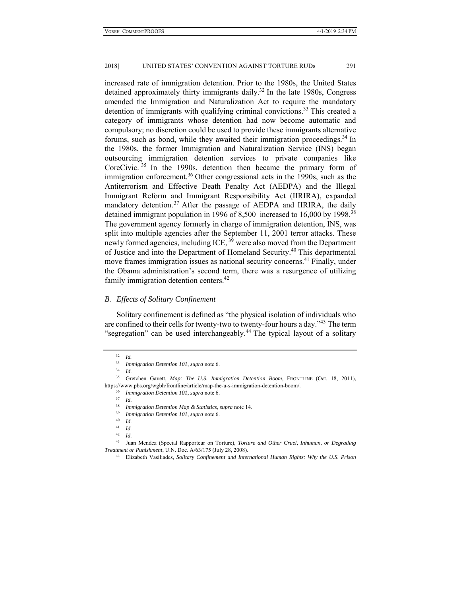increased rate of immigration detention. Prior to the 1980s, the United States detained approximately thirty immigrants daily.<sup>32</sup> In the late 1980s, Congress amended the Immigration and Naturalization Act to require the mandatory detention of immigrants with qualifying criminal convictions.<sup>33</sup> This created a category of immigrants whose detention had now become automatic and compulsory; no discretion could be used to provide these immigrants alternative forums, such as bond, while they awaited their immigration proceedings.<sup>34</sup> In the 1980s, the former Immigration and Naturalization Service (INS) began outsourcing immigration detention services to private companies like CoreCivic.  $35$  In the 1990s, detention then became the primary form of immigration enforcement.<sup>36</sup> Other congressional acts in the 1990s, such as the Antiterrorism and Effective Death Penalty Act (AEDPA) and the Illegal Immigrant Reform and Immigrant Responsibility Act (IIRIRA), expanded mandatory detention.<sup>37</sup> After the passage of AEDPA and IIRIRA, the daily detained immigrant population in 1996 of 8,500 increased to 16,000 by 1998.<sup>38</sup> The government agency formerly in charge of immigration detention, INS, was split into multiple agencies after the September 11, 2001 terror attacks. These newly formed agencies, including ICE, <sup>39</sup> were also moved from the Department of Justice and into the Department of Homeland Security.<sup>40</sup> This departmental move frames immigration issues as national security concerns.<sup>41</sup> Finally, under the Obama administration's second term, there was a resurgence of utilizing family immigration detention centers.<sup>42</sup>

#### *B. Effects of Solitary Confinement*

Solitary confinement is defined as "the physical isolation of individuals who are confined to their cells for twenty-two to twenty-four hours a day.<sup> $3$ </sup> The term "segregation" can be used interchangeably.<sup>44</sup> The typical layout of a solitary

 $rac{32}{33}$  *Id.* 

<sup>33</sup> *Immigration Detention 101*, *supra* note 6. 34 *Id.*

<sup>35</sup> Gretchen Gavett, *Map: The U.S. Immigration Detention Boom*, FRONTLINE (Oct. 18, 2011), https://www.pbs.org/wgbh/frontline/article/map-the-u-s-immigration-detention-boom/. 36 *Immigration Detention 101*, *supra* note 6. 37 *Id.*

<sup>38</sup> *Immigration Detention Map & Statistics*, *supra* note 14. 39 *Immigration Detention 101*, *supra* note 6. 40 *Id.*

<sup>41</sup> *Id.*

<sup>42</sup> *Id.*

<sup>43</sup> Juan Mendez (Special Rapporteur on Torture), *Torture and Other Cruel, Inhuman, or Degrading Treatment or Punishment*, U.N. Doc. A/63/175 (July 28, 2008). 44 Elizabeth Vasiliades, *Solitary Confinement and International Human Rights: Why the U.S. Prison*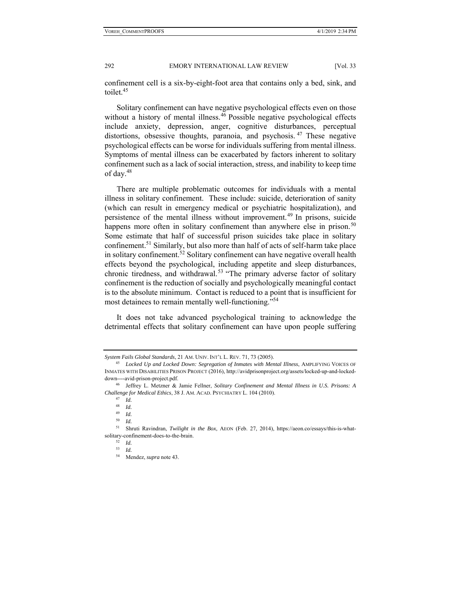confinement cell is a six-by-eight-foot area that contains only a bed, sink, and toilet.<sup>45</sup>

Solitary confinement can have negative psychological effects even on those without a history of mental illness.<sup>46</sup> Possible negative psychological effects include anxiety, depression, anger, cognitive disturbances, perceptual distortions, obsessive thoughts, paranoia, and psychosis.<sup>47</sup> These negative psychological effects can be worse for individuals suffering from mental illness. Symptoms of mental illness can be exacerbated by factors inherent to solitary confinement such as a lack of social interaction, stress, and inability to keep time of day.48

There are multiple problematic outcomes for individuals with a mental illness in solitary confinement. These include: suicide, deterioration of sanity (which can result in emergency medical or psychiatric hospitalization), and persistence of the mental illness without improvement.<sup>49</sup> In prisons, suicide happens more often in solitary confinement than anywhere else in prison.<sup>50</sup> Some estimate that half of successful prison suicides take place in solitary confinement.<sup>51</sup> Similarly, but also more than half of acts of self-harm take place in solitary confinement.<sup>52</sup> Solitary confinement can have negative overall health effects beyond the psychological, including appetite and sleep disturbances, chronic tiredness, and withdrawal.<sup>53</sup> "The primary adverse factor of solitary confinement is the reduction of socially and psychologically meaningful contact is to the absolute minimum. Contact is reduced to a point that is insufficient for most detainees to remain mentally well-functioning."<sup>54</sup>

It does not take advanced psychological training to acknowledge the detrimental effects that solitary confinement can have upon people suffering

*System Fails Global Standards*, 21 AM. UNIV. INT'L L. REV. 71, 73 (2005). 45 *Locked Up and Locked Down: Segregation of Inmates with Mental Illness*, AMPLIFYING VOICES OF INMATES WITH DISABILITIES PRISON PROJECT (2016), http://avidprisonproject.org/assets/locked-up-and-lockeddown----avid-prison-project.pdf. 46 Jeffrey L. Metzner & Jamie Fellner, *Solitary Confinement and Mental Illness in U.S. Prisons: A* 

*Challenge for Medical Ethics*, 38 J. AM. ACAD. PSYCHIATRY L. 104 (2010). 47 *Id.*

<sup>48</sup> *Id.*

<sup>49</sup> *Id.* 

<sup>50</sup> *Id.*

<sup>51</sup> Shruti Ravindran, *Twilight in the Box*, AEON (Feb. 27, 2014), https://aeon.co/essays/this-is-whatsolitary-confinement-does-to-the-brain. 52 *Id.*

<sup>53</sup> *Id.*

<sup>54</sup> Mendez, *supra* note 43.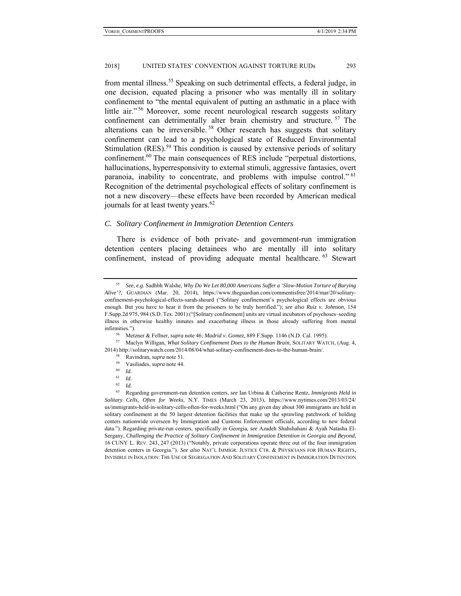from mental illness.<sup>55</sup> Speaking on such detrimental effects, a federal judge, in one decision, equated placing a prisoner who was mentally ill in solitary confinement to "the mental equivalent of putting an asthmatic in a place with little air." 56 Moreover, some recent neurological research suggests solitary confinement can detrimentally alter brain chemistry and structure. 57 The alterations can be irreversible. 58 Other research has suggests that solitary confinement can lead to a psychological state of Reduced Environmental Stimulation  $(RES)$ .<sup>59</sup> This condition is caused by extensive periods of solitary confinement.60 The main consequences of RES include "perpetual distortions, hallucinations, hyperresponsivity to external stimuli, aggressive fantasies, overt paranoia, inability to concentrate, and problems with impulse control." <sup>61</sup> Recognition of the detrimental psychological effects of solitary confinement is not a new discovery—these effects have been recorded by American medical journals for at least twenty years.<sup>62</sup>

#### *C. Solitary Confinement in Immigration Detention Centers*

There is evidence of both private- and government-run immigration detention centers placing detainees who are mentally ill into solitary confinement, instead of providing adequate mental healthcare. <sup>63</sup> Stewart

- $\begin{array}{cc} 61 & Id. \\ 62 & Id. \end{array}$
- <sup>62</sup> *Id.*

<sup>55</sup> *See*, *e.g.* Sadhbh Walshe, *Why Do We Let 80,000 Americans Suffer a 'Slow-Motion Torture of Burying Alive'?*, GUARDIAN (Mar. 20, 2014), https://www.theguardian.com/commentisfree/2014/mar/20/solitaryconfinement-psychological-effects-sarah-shourd ("Solitary confinement's psychological effects are obvious enough. But you have to hear it from the prisoners to be truly horrified."); *see also Ruiz v. Johnson*, 154 F.Supp.2d 975, 984 (S.D. Tex. 2001) ("[Solitary confinement] units are virtual incubators of psychoses–seeding illness in otherwise healthy inmates and exacerbating illness in those already suffering from mental

infirmities."). 56 Metzner & Fellner, *supra* note 46; *Madrid v. Gomez*, 889 F.Supp. 1146 (N.D. Cal. 1995). 57 Maclyn Willigan, *What Solitary Confinement Does to the Human Brain*, SOLITARY WATCH, (Aug. 4, 2014) http://solitarywatch.com/2014/08/04/what-solitary-confinement-does-to-the-human-brain/.<br><sup>58</sup> Ravindran, *supra* note 51.<br><sup>59</sup> Vasiliades, *supra* note 44.<br><sup>60</sup> *Id.* 

<sup>63</sup> Regarding government-run detention centers, *see* Ian Urbina & Catherine Rentz, *Immigrants Held in Solitary Cells, Often for Weeks*, N.Y. TIMES (March 23, 2013), https://www.nytimes.com/2013/03/24/ us/immigrants-held-in-solitary-cells-often-for-weeks.html ("On any given day about 300 immigrants are held in solitary confinement at the 50 largest detention facilities that make up the sprawling patchwork of holding centers nationwide overseen by Immigration and Customs Enforcement officials, according to new federal data."). Regarding private-run centers, specifically in Georgia, *see* Azadeh Shahshahani & Ayah Natasha El-Sergany, *Challenging the Practice of Solitary Confinement in Immigration Detention in Georgia and Beyond*, 16 CUNY L. REV. 243, 247 (2013) ("Notably, private corporations operate three out of the four immigration detention centers in Georgia."). *See also* NAT'L IMMIGR. JUSTICE CTR. & PHYSICIANS FOR HUMAN RIGHTS, INVISIBLE IN ISOLATION: THE USE OF SEGREGATION AND SOLITARY CONFINEMENT IN IMMIGRATION DETENTION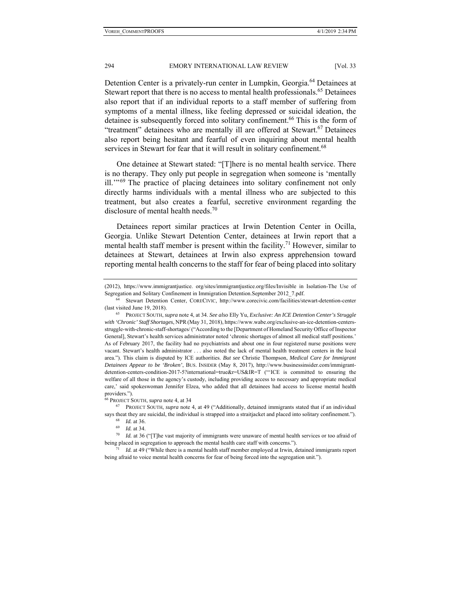Detention Center is a privately-run center in Lumpkin, Georgia.<sup>64</sup> Detainees at Stewart report that there is no access to mental health professionals.<sup>65</sup> Detainees also report that if an individual reports to a staff member of suffering from symptoms of a mental illness, like feeling depressed or suicidal ideation, the detainee is subsequently forced into solitary confinement.<sup>66</sup> This is the form of "treatment" detainees who are mentally ill are offered at Stewart.<sup>67</sup> Detainees also report being hesitant and fearful of even inquiring about mental health services in Stewart for fear that it will result in solitary confinement.<sup>68</sup>

One detainee at Stewart stated: "[T]here is no mental health service. There is no therapy. They only put people in segregation when someone is 'mentally ill.<sup>"69</sup> The practice of placing detainees into solitary confinement not only directly harms individuals with a mental illness who are subjected to this treatment, but also creates a fearful, secretive environment regarding the disclosure of mental health needs.<sup>70</sup>

Detainees report similar practices at Irwin Detention Center in Ocilla, Georgia. Unlike Stewart Detention Center, detainees at Irwin report that a mental health staff member is present within the facility.<sup>71</sup> However, similar to detainees at Stewart, detainees at Irwin also express apprehension toward reporting mental health concerns to the staff for fear of being placed into solitary

<sup>(2012),</sup> https://www.immigrantjustice. org/sites/immigrantjustice.org/files/Invisible in Isolation-The Use of Segregation and Solitary Confinement in Immigration Detention.September 2012\_7.pdf. 64 Stewart Detention Center, CORECIVIC, http://www.corecivic.com/facilities/stewart-detention-center

<sup>(</sup>last visited June 19, 2018). 65 PROJECT SOUTH, *supra* note 4, at 34. *See also* Elly Yu, *Exclusive: An ICE Detention Center's Struggle* 

*with 'Chronic' Staff Shortages*, NPR(May 31, 2018), https://www.wabe.org/exclusive-an-ice-detention-centersstruggle-with-chronic-staff-shortages/ ("According to the [Department of Homeland Security Office of Inspector General], Stewart's health services administrator noted 'chronic shortages of almost all medical staff positions.' As of February 2017, the facility had no psychiatrists and about one in four registered nurse positions were vacant. Stewart's health administrator . . . also noted the lack of mental health treatment centers in the local area."). This claim is disputed by ICE authorities. *But see* Christie Thompson, *Medical Care for Immigrant Detainees Appear to be 'Broken'*, BUS. INSIDER (May 8, 2017), http://www.businessinsider.com/immigrantdetention-centers-condition-2017-5?international=true&r=US&IR=T ("'ICE is committed to ensuring the welfare of all those in the agency's custody, including providing access to necessary and appropriate medical care,' said spokeswoman Jennifer Elzea, who added that all detainees had access to license mental health providers.").

<sup>66</sup> PROJECT SOUTH, *supra* note 4, at 34 67 PROJECT SOUTH, *supra* note 4, at 49 ("Additionally, detained immigrants stated that if an individual says theat they are suicidal, the individual is strapped into a straitjacket and placed into solitary confinement.").<br><sup>68</sup> *Id.* at 36.<br><sup>69</sup> *Id.* at 34.<br><sup>70</sup> *Id.* at 36 ("T]he vast majority of immigrants were unaware of

being placed in segregation to approach the mental health care staff with concerns.").<br><sup>71</sup> *Id.* at 49 ("While there is a mental health staff member employed at Irwin, detained immigrants report

being afraid to voice mental health concerns for fear of being forced into the segregation unit.").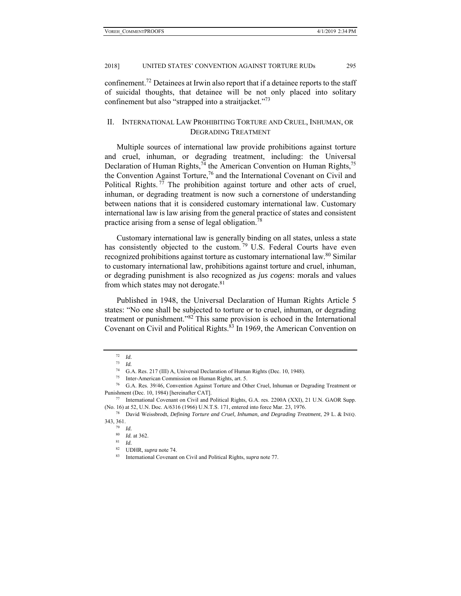confinement.72 Detainees at Irwin also report that if a detainee reports to the staff of suicidal thoughts, that detainee will be not only placed into solitary confinement but also "strapped into a straitjacket."<sup>73</sup>

### II. INTERNATIONAL LAW PROHIBITING TORTURE AND CRUEL, INHUMAN, OR DEGRADING TREATMENT

Multiple sources of international law provide prohibitions against torture and cruel, inhuman, or degrading treatment, including: the Universal Declaration of Human Rights,  $74$  the American Convention on Human Rights,  $75$ the Convention Against Torture,<sup>76</sup> and the International Covenant on Civil and Political Rights.<sup>77</sup> The prohibition against torture and other acts of cruel, inhuman, or degrading treatment is now such a cornerstone of understanding between nations that it is considered customary international law. Customary international law is law arising from the general practice of states and consistent practice arising from a sense of legal obligation.78

Customary international law is generally binding on all states, unless a state has consistently objected to the custom.<sup>79</sup> U.S. Federal Courts have even recognized prohibitions against torture as customary international law.<sup>80</sup> Similar to customary international law, prohibitions against torture and cruel, inhuman, or degrading punishment is also recognized as *jus cogens*: morals and values from which states may not derogate. $81$ 

Published in 1948, the Universal Declaration of Human Rights Article 5 states: "No one shall be subjected to torture or to cruel, inhuman, or degrading treatment or punishment."82 This same provision is echoed in the International Covenant on Civil and Political Rights.<sup>83</sup> In 1969, the American Convention on

<sup>72</sup> *Id.*

<sup>73</sup> *Id.* 

<sup>74</sup> G.A. Res. 217 (III) A, Universal Declaration of Human Rights (Dec. 10, 1948). 75 Inter-American Commission on Human Rights, art. 5.

<sup>76</sup> G.A. Res. 39/46, Convention Against Torture and Other Cruel, Inhuman or Degrading Treatment or Punishment (Dec. 10, 1984) [hereinafter CAT].<br>
<sup>77</sup> International Covenant on Civil and Political Rights, G.A. res. 2200A (XXI), 21 U.N. GAOR Supp.

<sup>(</sup>No. 16) at 52, U.N. Doc. A/6316 (1966) U.N.T.S. 171, entered into force Mar. 23, 1976. 78 David Weissbrodt, *Defining Torture and Cruel, Inhuman, and Degrading Treatment*, 29 L. & INEQ.

<sup>343, 361. 79</sup> *Id.*

<sup>80</sup> *Id.* at 362. 81 *Id.*

<sup>&</sup>lt;sup>83</sup> International Covenant on Civil and Political Rights, *supra* note 77.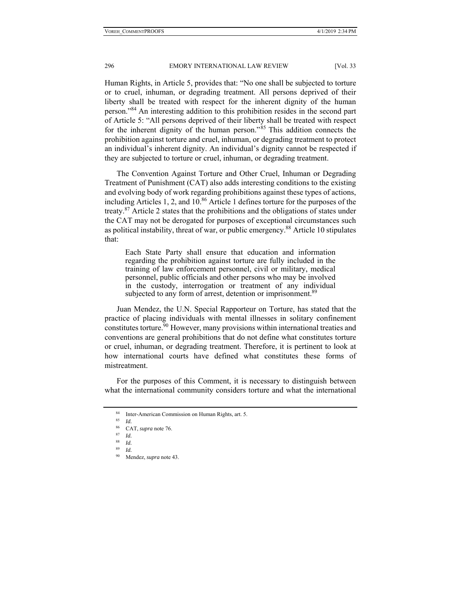Human Rights, in Article 5, provides that: "No one shall be subjected to torture or to cruel, inhuman, or degrading treatment. All persons deprived of their liberty shall be treated with respect for the inherent dignity of the human person."84 An interesting addition to this prohibition resides in the second part of Article 5: "All persons deprived of their liberty shall be treated with respect for the inherent dignity of the human person."<sup>85</sup> This addition connects the prohibition against torture and cruel, inhuman, or degrading treatment to protect an individual's inherent dignity. An individual's dignity cannot be respected if they are subjected to torture or cruel, inhuman, or degrading treatment.

The Convention Against Torture and Other Cruel, Inhuman or Degrading Treatment of Punishment (CAT) also adds interesting conditions to the existing and evolving body of work regarding prohibitions against these types of actions, including Articles 1, 2, and  $10^{86}$  Article 1 defines torture for the purposes of the treaty.87 Article 2 states that the prohibitions and the obligations of states under the CAT may not be derogated for purposes of exceptional circumstances such as political instability, threat of war, or public emergency.<sup>88</sup> Article 10 stipulates that:

Each State Party shall ensure that education and information regarding the prohibition against torture are fully included in the training of law enforcement personnel, civil or military, medical personnel, public officials and other persons who may be involved in the custody, interrogation or treatment of any individual subjected to any form of arrest, detention or imprisonment.<sup>89</sup>

Juan Mendez, the U.N. Special Rapporteur on Torture, has stated that the practice of placing individuals with mental illnesses in solitary confinement constitutes torture.<sup>90</sup> However, many provisions within international treaties and conventions are general prohibitions that do not define what constitutes torture or cruel, inhuman, or degrading treatment. Therefore, it is pertinent to look at how international courts have defined what constitutes these forms of mistreatment.

For the purposes of this Comment, it is necessary to distinguish between what the international community considers torture and what the international

Inter-American Commission on Human Rights, art. 5.

<sup>85</sup> *Id.* 

<sup>86</sup> CAT, *supra* note 76. 87 *Id.*

 $rac{88}{89}$  *Id.* 

<sup>89</sup> *Id.*

<sup>90</sup> Mendez, *supra* note 43.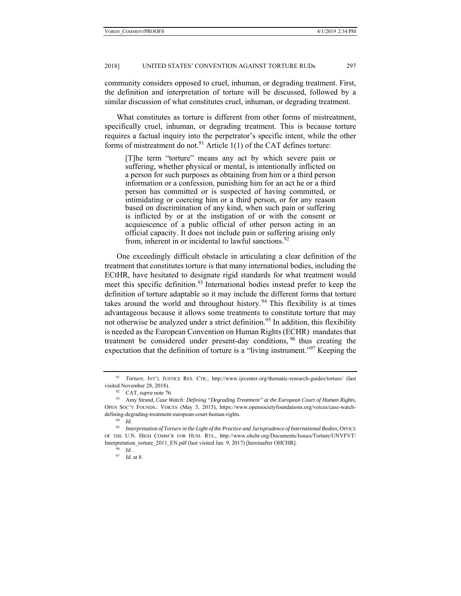community considers opposed to cruel, inhuman, or degrading treatment. First, the definition and interpretation of torture will be discussed, followed by a similar discussion of what constitutes cruel, inhuman, or degrading treatment.

What constitutes as torture is different from other forms of mistreatment, specifically cruel, inhuman, or degrading treatment. This is because torture requires a factual inquiry into the perpetrator's specific intent, while the other forms of mistreatment do not.<sup>91</sup> Article  $1(1)$  of the CAT defines torture:

[T]he term "torture" means any act by which severe pain or suffering, whether physical or mental, is intentionally inflicted on a person for such purposes as obtaining from him or a third person information or a confession, punishing him for an act he or a third person has committed or is suspected of having committed, or intimidating or coercing him or a third person, or for any reason based on discrimination of any kind, when such pain or suffering is inflicted by or at the instigation of or with the consent or acquiescence of a public official of other person acting in an official capacity. It does not include pain or suffering arising only from, inherent in or incidental to lawful sanctions. $92$ 

One exceedingly difficult obstacle in articulating a clear definition of the treatment that constitutes torture is that many international bodies, including the ECtHR, have hesitated to designate rigid standards for what treatment would meet this specific definition.<sup>93</sup> International bodies instead prefer to keep the definition of torture adaptable so it may include the different forms that torture takes around the world and throughout history.<sup>94</sup> This flexibility is at times advantageous because it allows some treatments to constitute torture that may not otherwise be analyzed under a strict definition.<sup>95</sup> In addition, this flexibility is needed as the European Convention on Human Rights (ECHR) mandates that treatment be considered under present-day conditions, 96 thus creating the expectation that the definition of torture is a "living instrument."<sup>97</sup> Keeping the

<sup>91</sup> *Torture*, INT'L JUSTICE RES. CTR., http://www.ijrcenter.org/thematic-research-guides/torture/ (last visited November 28, 2018).<br><sup>92</sup> CAT, *supra* note 76.<br><sup>93</sup> Amy Strand, *Case Watch: Defining "Degrading Treatment" at the European Court of Human Rights*,

OPEN SOC'Y FOUNDS.: VOICES (May 5, 2015), https://www.opensocietyfoundations.org/voices/case-watchdefining-degrading-treatment-european-court-human-rights. 94 *Id.*

<sup>95</sup> *Interpretation of Torture in the Light of the Practice and Jurisprudence of International Bodies*, OFFICE OF THE U.N. HIGH COMM'R FOR HUM. RTS., http://www.ohchr.org/Documents/Issues/Torture/UNVFVT/ Interpretation\_torture\_2011\_EN.pdf (last visited Jan. 9, 2017) [hereinafter OHCHR]. 96 *Id.*

<sup>97</sup> *Id.* at 8.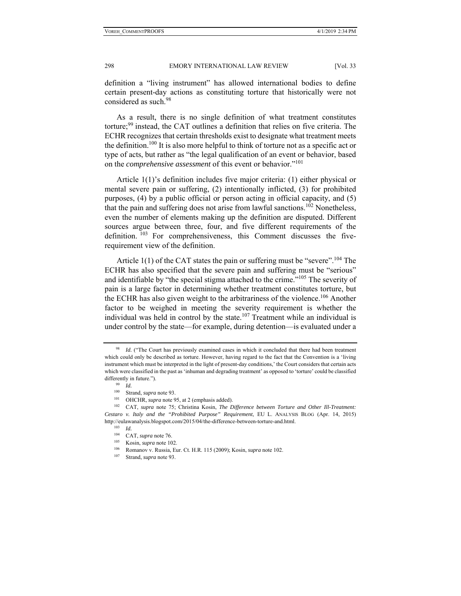definition a "living instrument" has allowed international bodies to define certain present-day actions as constituting torture that historically were not considered as such.98

As a result, there is no single definition of what treatment constitutes torture;<sup>99</sup> instead, the CAT outlines a definition that relies on five criteria. The ECHR recognizes that certain thresholds exist to designate what treatment meets the definition.<sup>100</sup> It is also more helpful to think of torture not as a specific act or type of acts, but rather as "the legal qualification of an event or behavior, based on the *comprehensive assessment* of this event or behavior."101

Article 1(1)'s definition includes five major criteria: (1) either physical or mental severe pain or suffering, (2) intentionally inflicted, (3) for prohibited purposes, (4) by a public official or person acting in official capacity, and (5) that the pain and suffering does not arise from lawful sanctions.<sup>102</sup> Nonetheless, even the number of elements making up the definition are disputed. Different sources argue between three, four, and five different requirements of the definition. <sup>103</sup> For comprehensiveness, this Comment discusses the fiverequirement view of the definition.

Article  $1(1)$  of the CAT states the pain or suffering must be "severe".<sup>104</sup> The ECHR has also specified that the severe pain and suffering must be "serious" and identifiable by "the special stigma attached to the crime."<sup>105</sup> The severity of pain is a large factor in determining whether treatment constitutes torture, but the ECHR has also given weight to the arbitrariness of the violence.<sup>106</sup> Another factor to be weighed in meeting the severity requirement is whether the individual was held in control by the state.<sup>107</sup> Treatment while an individual is under control by the state—for example, during detention—is evaluated under a

<sup>98</sup> *Id.* ("The Court has previously examined cases in which it concluded that there had been treatment which could only be described as torture. However, having regard to the fact that the Convention is a 'living instrument which must be interpreted in the light of present-day conditions,' the Court considers that certain acts which were classified in the past as 'inhuman and degrading treatment' as opposed to 'torture' could be classified differently in future.").<br><sup>99</sup> *Id.*<br><sup>100</sup> Strand sunns

<sup>&</sup>lt;sup>100</sup> Strand, *supra* note 93.<br><sup>101</sup> OHCHR, *supra* note 95, at 2 (emphasis added).<br><sup>102</sup> CAT, *supra* note 75; Christina Kosin, *The Difference between Torture and Other Ill-Treatment: Cestaro v. Italy and the "Prohibited Purpose" Requirement*, EU L. ANALYSIS BLOG (Apr. 14, 2015) http://eulawanalysis.blogspot.com/2015/04/the-difference-between-torture-and.html.<br><sup>103</sup> *Id.* CAT, *supra* note 76.

<sup>104</sup> CAT, *supra* note 76. 105 Kosin, *supra* note 102. 106 Romanov v. Russia, Eur. Ct. H.R. 115 (2009); Kosin, *supra* note 102. 107 Strand, *supra* note 93.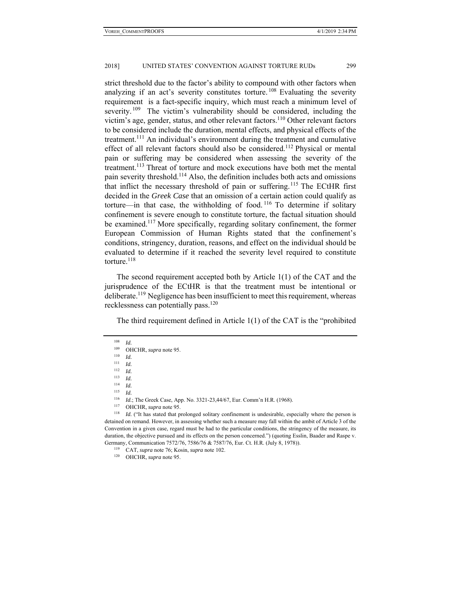strict threshold due to the factor's ability to compound with other factors when analyzing if an act's severity constitutes torture.<sup>108</sup> Evaluating the severity requirement is a fact-specific inquiry, which must reach a minimum level of severity.  $109$  The victim's vulnerability should be considered, including the victim's age, gender, status, and other relevant factors.<sup>110</sup> Other relevant factors to be considered include the duration, mental effects, and physical effects of the treatment.111 An individual's environment during the treatment and cumulative effect of all relevant factors should also be considered.<sup>112</sup> Physical or mental pain or suffering may be considered when assessing the severity of the treatment.<sup>113</sup> Threat of torture and mock executions have both met the mental pain severity threshold.114 Also, the definition includes both acts and omissions that inflict the necessary threshold of pain or suffering.<sup>115</sup> The ECtHR first decided in the *Greek Case* that an omission of a certain action could qualify as torture—in that case, the withholding of food.<sup>116</sup> To determine if solitary confinement is severe enough to constitute torture, the factual situation should be examined.<sup>117</sup> More specifically, regarding solitary confinement, the former European Commission of Human Rights stated that the confinement's conditions, stringency, duration, reasons, and effect on the individual should be evaluated to determine if it reached the severity level required to constitute torture. $118$ 

The second requirement accepted both by Article 1(1) of the CAT and the jurisprudence of the ECtHR is that the treatment must be intentional or deliberate.<sup>119</sup> Negligence has been insufficient to meet this requirement, whereas recklessness can potentially pass.<sup>120</sup>

The third requirement defined in Article 1(1) of the CAT is the "prohibited

<sup>112</sup> *Id.*

 $\frac{113}{114}$  *Id.* 

 $\frac{114}{115}$  *Id. Id.* 

<sup>116</sup> *Id.*; The Greek Case, App. No. 3321-23,44/67, Eur. Comm'n H.R. (1968).<br><sup>117</sup> OHCHR, *supra* note 95.<br><sup>118</sup> *Id.* ("It has stated that prolonged solitary confinement is undesirable, especially where the person is detained on remand. However, in assessing whether such a measure may fall within the ambit of Article 3 of the Convention in a given case, regard must be had to the particular conditions, the stringency of the measure, its duration, the objective pursued and its effects on the person concerned.") (quoting Esslin, Baader and Raspe v. Germany, Communication 7572/76, 7586/76 & 7587/76, Eur. Ct. H.R. (July 8, 1978)). 119 CAT, *supra* note 76; Kosin, *supra* note 102. 120 OHCHR, *supra* note 95.

<sup>108</sup> *Id.*

<sup>109</sup> OHCHR, *supra* note 95. 110 *Id.*

<sup>111</sup> *Id.*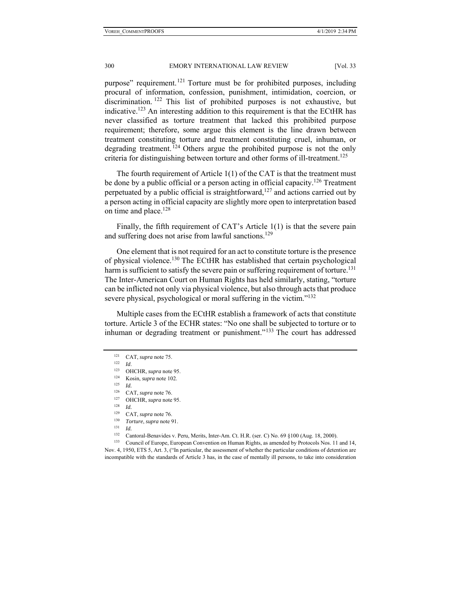purpose" requirement.<sup>121</sup> Torture must be for prohibited purposes, including procural of information, confession, punishment, intimidation, coercion, or discrimination. 122 This list of prohibited purposes is not exhaustive, but indicative.123 An interesting addition to this requirement is that the ECtHR has never classified as torture treatment that lacked this prohibited purpose requirement; therefore, some argue this element is the line drawn between treatment constituting torture and treatment constituting cruel, inhuman, or degrading treatment. <sup>124</sup> Others argue the prohibited purpose is not the only criteria for distinguishing between torture and other forms of ill-treatment.<sup>125</sup>

The fourth requirement of Article 1(1) of the CAT is that the treatment must be done by a public official or a person acting in official capacity.<sup>126</sup> Treatment perpetuated by a public official is straightforward,  $127$  and actions carried out by a person acting in official capacity are slightly more open to interpretation based on time and place.<sup>128</sup>

Finally, the fifth requirement of CAT's Article 1(1) is that the severe pain and suffering does not arise from lawful sanctions.<sup>129</sup>

One element that is not required for an act to constitute torture is the presence of physical violence.130 The ECtHR has established that certain psychological harm is sufficient to satisfy the severe pain or suffering requirement of torture.<sup>131</sup> The Inter-American Court on Human Rights has held similarly, stating, "torture can be inflicted not only via physical violence, but also through acts that produce severe physical, psychological or moral suffering in the victim. $132$ 

Multiple cases from the ECtHR establish a framework of acts that constitute torture. Article 3 of the ECHR states: "No one shall be subjected to torture or to inhuman or degrading treatment or punishment."<sup>133</sup> The court has addressed

Nov. 4, 1950, ETS 5, Art. 3, ("In particular, the assessment of whether the particular conditions of detention are incompatible with the standards of Article 3 has, in the case of mentally ill persons, to take into consideration

<sup>121</sup> CAT, *supra* note 75.<br>
122 *Id.* 0HCHR, *supra* note 95.<br>
124 Kosin, *supra* note 102.<br>
125 *Id.* CAT *supra* pote 76

<sup>126</sup> CAT, *supra* note 76. 127 OHCHR, *supra* note 95. 128 *Id.*

<sup>129</sup> CAT, *supra* note 76. 130 *Torture*, *supra* note 91. 131 *Id.*

<sup>&</sup>lt;sup>132</sup> Cantoral-Benavides v. Peru, Merits, Inter-Am. Ct. H.R. (ser. C) No. 69 §100 (Aug. 18, 2000).<br><sup>133</sup> Council of Europe, European Convention on Human Rights, as amended by Protocols Nos. 11 and 14,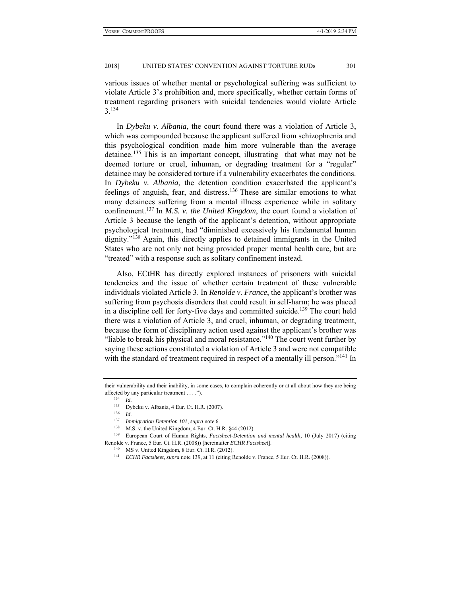various issues of whether mental or psychological suffering was sufficient to violate Article 3's prohibition and, more specifically, whether certain forms of treatment regarding prisoners with suicidal tendencies would violate Article 3.134

In *Dybeku v. Albania*, the court found there was a violation of Article 3, which was compounded because the applicant suffered from schizophrenia and this psychological condition made him more vulnerable than the average detainee.135 This is an important concept, illustrating that what may not be deemed torture or cruel, inhuman, or degrading treatment for a "regular" detainee may be considered torture if a vulnerability exacerbates the conditions. In *Dybeku v. Albania*, the detention condition exacerbated the applicant's feelings of anguish, fear, and distress.<sup>136</sup> These are similar emotions to what many detainees suffering from a mental illness experience while in solitary confinement.137 In *M.S. v. the United Kingdom*, the court found a violation of Article 3 because the length of the applicant's detention, without appropriate psychological treatment, had "diminished excessively his fundamental human dignity."<sup>138</sup> Again, this directly applies to detained immigrants in the United States who are not only not being provided proper mental health care, but are "treated" with a response such as solitary confinement instead.

Also, ECtHR has directly explored instances of prisoners with suicidal tendencies and the issue of whether certain treatment of these vulnerable individuals violated Article 3. In *Renolde v. France*, the applicant's brother was suffering from psychosis disorders that could result in self-harm; he was placed in a discipline cell for forty-five days and committed suicide.<sup>139</sup> The court held there was a violation of Article 3, and cruel, inhuman, or degrading treatment, because the form of disciplinary action used against the applicant's brother was "liable to break his physical and moral resistance."<sup>140</sup> The court went further by saying these actions constituted a violation of Article 3 and were not compatible with the standard of treatment required in respect of a mentally ill person."<sup>141</sup> In

137 *Immigration Detention 101*, *supra* note 6.<br><sup>138</sup> M.S. v. the United Kingdom, 4 Eur. Ct. H.R. §44 (2012).<br><sup>139</sup> European Court of Human Rights, *Factsheet-Detention and mental health*, 10 (July 2017) (citing Renolde v. France, 5 Eur. Ct. H.R. (2008)) [hereinafter *ECHR Factsheet*].<br><sup>140</sup> MS v. United Kingdom, 8 Eur. Ct. H.R. (2012).<br><sup>141</sup> *ECHR Factsheet, supra* note 139, at 11 (citing Renolde v. France, 5 Eur. Ct. H.R. (2008)

- 
- 

their vulnerability and their inability, in some cases, to complain coherently or at all about how they are being affected by any particular treatment . . . .").<br><sup>134</sup> *Id.*<br><sup>135</sup> Debelium Alberia 4 Fue CA U.B.

<sup>135</sup> Dybeku v. Albania, 4 Eur. Ct. H.R. (2007). 136 *Id.*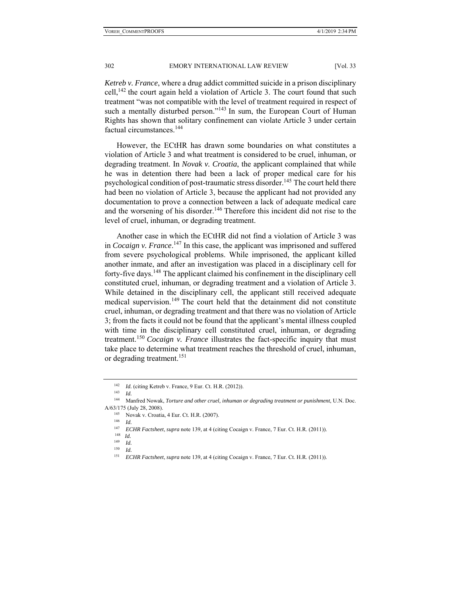*Ketreb v. France*, where a drug addict committed suicide in a prison disciplinary cell,<sup>142</sup> the court again held a violation of Article 3. The court found that such treatment "was not compatible with the level of treatment required in respect of such a mentally disturbed person."<sup>143</sup> In sum, the European Court of Human Rights has shown that solitary confinement can violate Article 3 under certain factual circumstances.<sup>144</sup>

However, the ECtHR has drawn some boundaries on what constitutes a violation of Article 3 and what treatment is considered to be cruel, inhuman, or degrading treatment. In *Novak v. Croatia*, the applicant complained that while he was in detention there had been a lack of proper medical care for his psychological condition of post-traumatic stress disorder.<sup>145</sup> The court held there had been no violation of Article 3, because the applicant had not provided any documentation to prove a connection between a lack of adequate medical care and the worsening of his disorder.<sup>146</sup> Therefore this incident did not rise to the level of cruel, inhuman, or degrading treatment.

Another case in which the ECtHR did not find a violation of Article 3 was in *Cocaign v. France*. 147 In this case, the applicant was imprisoned and suffered from severe psychological problems. While imprisoned, the applicant killed another inmate, and after an investigation was placed in a disciplinary cell for forty-five days.<sup>148</sup> The applicant claimed his confinement in the disciplinary cell constituted cruel, inhuman, or degrading treatment and a violation of Article 3. While detained in the disciplinary cell, the applicant still received adequate medical supervision.<sup>149</sup> The court held that the detainment did not constitute cruel, inhuman, or degrading treatment and that there was no violation of Article 3; from the facts it could not be found that the applicant's mental illness coupled with time in the disciplinary cell constituted cruel, inhuman, or degrading treatment.<sup>150</sup> *Cocaign v. France* illustrates the fact-specific inquiry that must take place to determine what treatment reaches the threshold of cruel, inhuman, or degrading treatment.<sup>151</sup>

<sup>142</sup> *Id.* (citing Ketreb v. France, 9 Eur. Ct. H.R. (2012)). 143 *Id.*

<sup>144</sup> Manfred Nowak, *Torture and other cruel, inhuman or degrading treatment or punishment*, U.N. Doc. A/63/175 (July 28, 2008). 145 Novak v. Croatia, 4 Eur. Ct. H.R. (2007). 146 *Id.*

<sup>147</sup> *ECHR Factsheet*, *supra* note 139, at 4 (citing Cocaign v. France, 7 Eur. Ct. H.R. (2011)). 148 *Id.* 

 $\frac{149}{150}$  *Id.*  $Id$ 

<sup>151</sup> *ECHR Factsheet*, *supra* note 139, at 4 (citing Cocaign v. France, 7 Eur. Ct. H.R. (2011)).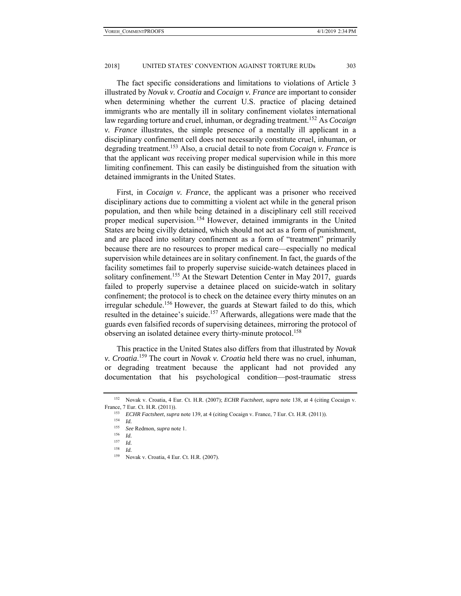The fact specific considerations and limitations to violations of Article 3 illustrated by *Novak v. Croatia* and *Cocaign v. France* are important to consider when determining whether the current U.S. practice of placing detained immigrants who are mentally ill in solitary confinement violates international law regarding torture and cruel, inhuman, or degrading treatment.<sup>152</sup> As *Cocaign v. France* illustrates, the simple presence of a mentally ill applicant in a disciplinary confinement cell does not necessarily constitute cruel, inhuman, or degrading treatment.153 Also, a crucial detail to note from *Cocaign v. France* is that the applicant *was* receiving proper medical supervision while in this more limiting confinement. This can easily be distinguished from the situation with detained immigrants in the United States.

First, in *Cocaign v. France*, the applicant was a prisoner who received disciplinary actions due to committing a violent act while in the general prison population, and then while being detained in a disciplinary cell still received proper medical supervision.<sup>154</sup> However, detained immigrants in the United States are being civilly detained, which should not act as a form of punishment, and are placed into solitary confinement as a form of "treatment" primarily because there are no resources to proper medical care—especially no medical supervision while detainees are in solitary confinement. In fact, the guards of the facility sometimes fail to properly supervise suicide-watch detainees placed in solitary confinement.<sup>155</sup> At the Stewart Detention Center in May 2017, guards failed to properly supervise a detainee placed on suicide-watch in solitary confinement; the protocol is to check on the detainee every thirty minutes on an irregular schedule.<sup>156</sup> However, the guards at Stewart failed to do this, which resulted in the detainee's suicide.<sup>157</sup> Afterwards, allegations were made that the guards even falsified records of supervising detainees, mirroring the protocol of observing an isolated detainee every thirty-minute protocol.<sup>158</sup>

This practice in the United States also differs from that illustrated by *Novak v. Croatia*. 159 The court in *Novak v. Croatia* held there was no cruel, inhuman, or degrading treatment because the applicant had not provided any documentation that his psychological condition—post-traumatic stress

<sup>152</sup> Novak v. Croatia, 4 Eur. Ct. H.R. (2007); *ECHR Factsheet*, *supra* note 138, at 4 (citing Cocaign v. France, 7 Eur. Ct. H.R. (2011)).<br><sup>153</sup> *ECHR Factsheet*, *supra* note 139, at 4 (citing Cocaign v. France, 7 Eur. Ct. H.R. (2011)).<br><sup>154</sup> *Id.* R. P. Primary supposed: 1

<sup>155</sup> *See* Redmon, *supra* note 1. 156 *Id.*

 $\frac{157}{158}$  *Id.* 

 $\frac{158}{159}$  *Id.* 

Novak v. Croatia, 4 Eur. Ct. H.R. (2007).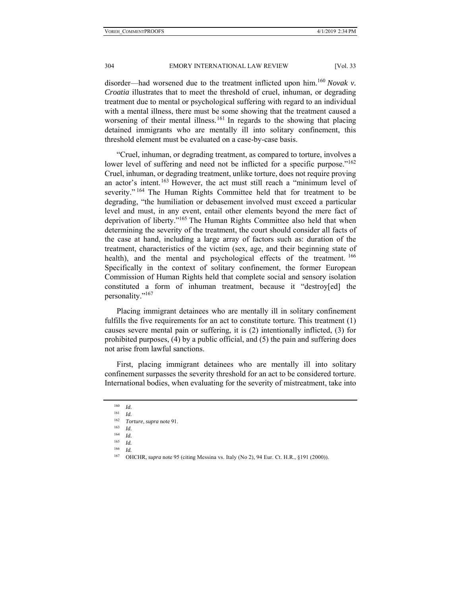disorder—had worsened due to the treatment inflicted upon him.<sup>160</sup> *Novak v. Croatia* illustrates that to meet the threshold of cruel, inhuman, or degrading treatment due to mental or psychological suffering with regard to an individual with a mental illness, there must be some showing that the treatment caused a worsening of their mental illness.<sup>161</sup> In regards to the showing that placing detained immigrants who are mentally ill into solitary confinement, this threshold element must be evaluated on a case-by-case basis.

"Cruel, inhuman, or degrading treatment, as compared to torture, involves a lower level of suffering and need not be inflicted for a specific purpose."<sup>162</sup> Cruel, inhuman, or degrading treatment, unlike torture, does not require proving an actor's intent.<sup>163</sup> However, the act must still reach a "minimum level of severity."<sup>164</sup> The Human Rights Committee held that for treatment to be degrading, "the humiliation or debasement involved must exceed a particular level and must, in any event, entail other elements beyond the mere fact of deprivation of liberty."165 The Human Rights Committee also held that when determining the severity of the treatment, the court should consider all facts of the case at hand, including a large array of factors such as: duration of the treatment, characteristics of the victim (sex, age, and their beginning state of health), and the mental and psychological effects of the treatment. <sup>166</sup> Specifically in the context of solitary confinement, the former European Commission of Human Rights held that complete social and sensory isolation constituted a form of inhuman treatment, because it "destroy[ed] the personality."<sup>167</sup>

Placing immigrant detainees who are mentally ill in solitary confinement fulfills the five requirements for an act to constitute torture. This treatment (1) causes severe mental pain or suffering, it is (2) intentionally inflicted, (3) for prohibited purposes, (4) by a public official, and (5) the pain and suffering does not arise from lawful sanctions.

First, placing immigrant detainees who are mentally ill into solitary confinement surpasses the severity threshold for an act to be considered torture. International bodies, when evaluating for the severity of mistreatment, take into

 $Id$ 

<sup>160</sup> *Id.*

 $\frac{161}{162}$  *Id.* 

<sup>162</sup> *Torture*, *supra* note 91. 163 *Id.*

 $\frac{164}{165}$  *Id.* 

 $\frac{165}{166}$  *Id.* 

<sup>167</sup> OHCHR, *supra* note 95 (citing Messina vs. Italy (No 2), 94 Eur. Ct. H.R., §191 (2000)).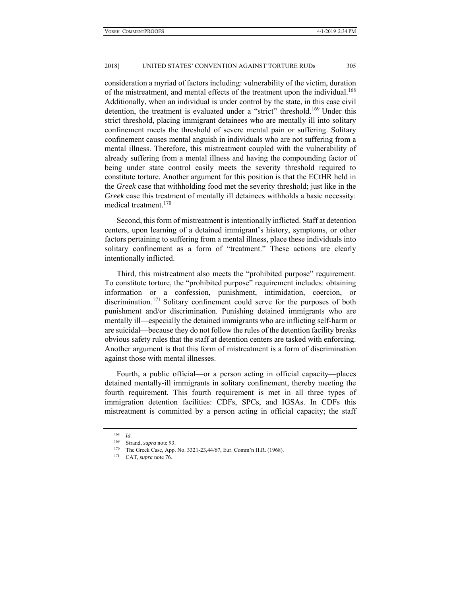consideration a myriad of factors including: vulnerability of the victim, duration of the mistreatment, and mental effects of the treatment upon the individual.<sup>168</sup> Additionally, when an individual is under control by the state, in this case civil detention, the treatment is evaluated under a "strict" threshold.<sup>169</sup> Under this strict threshold, placing immigrant detainees who are mentally ill into solitary confinement meets the threshold of severe mental pain or suffering. Solitary confinement causes mental anguish in individuals who are not suffering from a mental illness. Therefore, this mistreatment coupled with the vulnerability of already suffering from a mental illness and having the compounding factor of being under state control easily meets the severity threshold required to constitute torture. Another argument for this position is that the ECtHR held in the *Greek* case that withholding food met the severity threshold; just like in the *Greek* case this treatment of mentally ill detainees withholds a basic necessity: medical treatment.<sup>170</sup>

Second, this form of mistreatment is intentionally inflicted. Staff at detention centers, upon learning of a detained immigrant's history, symptoms, or other factors pertaining to suffering from a mental illness, place these individuals into solitary confinement as a form of "treatment." These actions are clearly intentionally inflicted.

Third, this mistreatment also meets the "prohibited purpose" requirement. To constitute torture, the "prohibited purpose" requirement includes: obtaining information or a confession, punishment, intimidation, coercion, or discrimination.<sup>171</sup> Solitary confinement could serve for the purposes of both punishment and/or discrimination. Punishing detained immigrants who are mentally ill—especially the detained immigrants who are inflicting self-harm or are suicidal—because they do not follow the rules of the detention facility breaks obvious safety rules that the staff at detention centers are tasked with enforcing. Another argument is that this form of mistreatment is a form of discrimination against those with mental illnesses.

Fourth, a public official—or a person acting in official capacity—places detained mentally-ill immigrants in solitary confinement, thereby meeting the fourth requirement. This fourth requirement is met in all three types of immigration detention facilities: CDFs, SPCs, and IGSAs. In CDFs this mistreatment is committed by a person acting in official capacity; the staff

 $\frac{168}{169}$  *Id.* 

<sup>169</sup> Strand, *supra* note 93. 170 The Greek Case, App. No. 3321-23,44/67, Eur. Comm'n H.R. (1968). 171 CAT, *supra* note 76.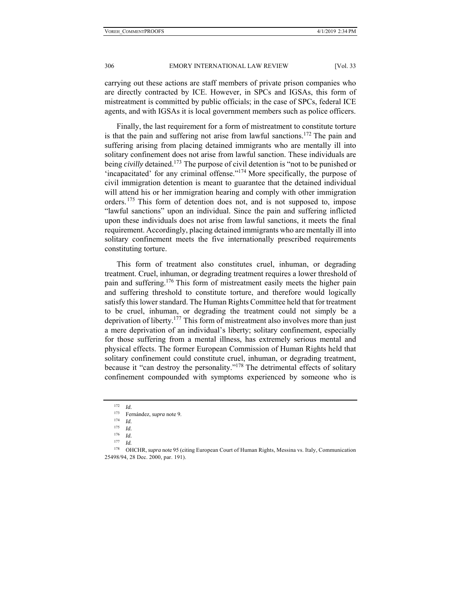carrying out these actions are staff members of private prison companies who are directly contracted by ICE. However, in SPCs and IGSAs, this form of mistreatment is committed by public officials; in the case of SPCs, federal ICE agents, and with IGSAs it is local government members such as police officers.

Finally, the last requirement for a form of mistreatment to constitute torture is that the pain and suffering not arise from lawful sanctions.<sup>172</sup> The pain and suffering arising from placing detained immigrants who are mentally ill into solitary confinement does not arise from lawful sanction. These individuals are being *civilly* detained.<sup>173</sup> The purpose of civil detention is "not to be punished or 'incapacitated' for any criminal offense."174 More specifically, the purpose of civil immigration detention is meant to guarantee that the detained individual will attend his or her immigration hearing and comply with other immigration orders.<sup>175</sup> This form of detention does not, and is not supposed to, impose "lawful sanctions" upon an individual. Since the pain and suffering inflicted upon these individuals does not arise from lawful sanctions, it meets the final requirement. Accordingly, placing detained immigrants who are mentally ill into solitary confinement meets the five internationally prescribed requirements constituting torture.

This form of treatment also constitutes cruel, inhuman, or degrading treatment. Cruel, inhuman, or degrading treatment requires a lower threshold of pain and suffering.<sup>176</sup> This form of mistreatment easily meets the higher pain and suffering threshold to constitute torture, and therefore would logically satisfy this lower standard. The Human Rights Committee held that for treatment to be cruel, inhuman, or degrading the treatment could not simply be a deprivation of liberty.<sup>177</sup> This form of mistreatment also involves more than just a mere deprivation of an individual's liberty; solitary confinement, especially for those suffering from a mental illness, has extremely serious mental and physical effects. The former European Commission of Human Rights held that solitary confinement could constitute cruel, inhuman, or degrading treatment, because it "can destroy the personality."<sup>178</sup> The detrimental effects of solitary confinement compounded with symptoms experienced by someone who is

<sup>172</sup> *Id.* 173 Fernández, *supra* note 9. 174 *Id.*

*Id.* 

 $\frac{176}{177}$  *Id.* 

<sup>178</sup> OHCHR, *supra* note 95 (citing European Court of Human Rights, Messina vs. Italy, Communication 25498/94, 28 Dec. 2000, par. 191).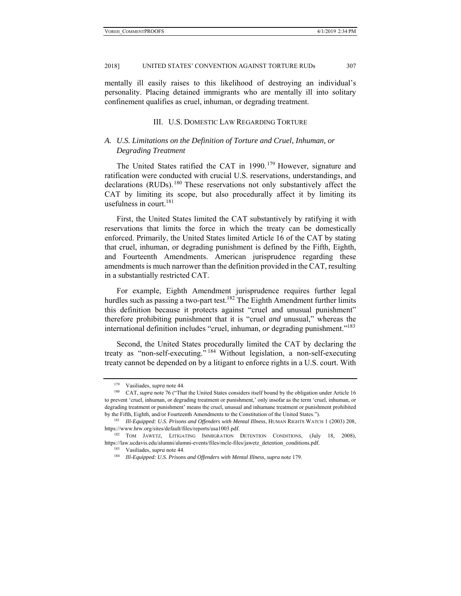mentally ill easily raises to this likelihood of destroying an individual's personality. Placing detained immigrants who are mentally ill into solitary confinement qualifies as cruel, inhuman, or degrading treatment.

#### III. U.S. DOMESTIC LAW REGARDING TORTURE

## *A. U.S. Limitations on the Definition of Torture and Cruel, Inhuman, or Degrading Treatment*

The United States ratified the CAT in 1990.<sup>179</sup> However, signature and ratification were conducted with crucial U.S. reservations, understandings, and declarations (RUDs).<sup>180</sup> These reservations not only substantively affect the CAT by limiting its scope, but also procedurally affect it by limiting its usefulness in court. $181$ 

First, the United States limited the CAT substantively by ratifying it with reservations that limits the force in which the treaty can be domestically enforced. Primarily, the United States limited Article 16 of the CAT by stating that cruel, inhuman, or degrading punishment is defined by the Fifth, Eighth, and Fourteenth Amendments. American jurisprudence regarding these amendments is much narrower than the definition provided in the CAT, resulting in a substantially restricted CAT.

For example, Eighth Amendment jurisprudence requires further legal hurdles such as passing a two-part test.<sup>182</sup> The Eighth Amendment further limits this definition because it protects against "cruel and unusual punishment" therefore prohibiting punishment that it is "cruel *and* unusual," whereas the international definition includes "cruel, inhuman, *or* degrading punishment."183

Second, the United States procedurally limited the CAT by declaring the treaty as "non-self-executing." 184 Without legislation, a non-self-executing treaty cannot be depended on by a litigant to enforce rights in a U.S. court. With

<sup>&</sup>lt;sup>179</sup> Vasiliades, *supra* note 44.<br><sup>180</sup> CAT, *supra* note 76 ("That the United States considers itself bound by the obligation under Article 16 to prevent 'cruel, inhuman, or degrading treatment or punishment,' only insofar as the term 'cruel, inhuman, or degrading treatment or punishment' means the cruel, unusual and inhumane treatment or punishment prohibited by the Fifth, Eighth, and/or Fourteenth Amendments to the Constitution of the United States."). 181 *Ill-Equipped: U.S. Prisons and Offenders with Mental Illness*, HUMAN RIGHTS WATCH 1 (2003) 208,

https://www.hrw.org/sites/default/files/reports/usa1003.pdf. 182 TOM JAWETZ, LITIGATING IMMIGRATION DETENTION CONDITIONS, (July 18, 2008),

https://law.ucdavis.edu/alumni/alumni-events/files/mcle-files/jawetz\_detention\_conditions.pdf.<br><sup>183</sup> Vasiliades, *supra* note 44.<br><sup>184</sup> Ill-Equipped: U.S. Prisons and Offenders with Mental Illness, supra note 179.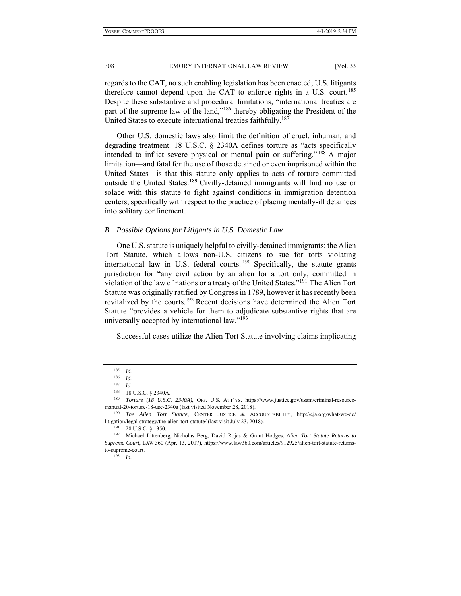regards to the CAT, no such enabling legislation has been enacted; U.S. litigants therefore cannot depend upon the CAT to enforce rights in a U.S. court.<sup>185</sup> Despite these substantive and procedural limitations, "international treaties are part of the supreme law of the land,"<sup>186</sup> thereby obligating the President of the United States to execute international treaties faithfully.<sup>187</sup>

Other U.S. domestic laws also limit the definition of cruel, inhuman, and degrading treatment. 18 U.S.C. § 2340A defines torture as "acts specifically intended to inflict severe physical or mental pain or suffering."188 A major limitation—and fatal for the use of those detained or even imprisoned within the United States—is that this statute only applies to acts of torture committed outside the United States.<sup>189</sup> Civilly-detained immigrants will find no use or solace with this statute to fight against conditions in immigration detention centers, specifically with respect to the practice of placing mentally-ill detainees into solitary confinement.

#### *B. Possible Options for Litigants in U.S. Domestic Law*

One U.S. statute is uniquely helpful to civilly-detained immigrants: the Alien Tort Statute, which allows non-U.S. citizens to sue for torts violating international law in U.S. federal courts.  $190$  Specifically, the statute grants jurisdiction for "any civil action by an alien for a tort only, committed in violation of the law of nations or a treaty of the United States."191 The Alien Tort Statute was originally ratified by Congress in 1789, however it has recently been revitalized by the courts.192 Recent decisions have determined the Alien Tort Statute "provides a vehicle for them to adjudicate substantive rights that are universally accepted by international law."193

Successful cases utilize the Alien Tort Statute involving claims implicating

<sup>185</sup> *Id.* 

 $\frac{186}{187}$  *Id.* 

<sup>&</sup>lt;sup>187</sup> *Id.*<br><sup>188</sup> 18 U.S.C. § 2340A.

<sup>&</sup>lt;sup>189</sup> Torture (18 U.S.C. 2340A), OFF. U.S. ATT'YS, https://www.justice.gov/usam/criminal-resource-

manual-20-torture-18-usc-2340a (last visited November 28, 2018). 190 *The Alien Tort Statute*, CENTER JUSTICE & ACCOUNTABILITY, http://cja.org/what-we-do/

litigation/legal-strategy/the-alien-tort-statute/ (last visit July 23, 2018). 191 28 U.S.C. § 1350. 192 Michael Littenberg, Nicholas Berg, David Rojas & Grant Hodges, *Alien Tort Statute Returns to Supreme Court*, LAW 360 (Apr. 13, 2017), https://www.law360.com/articles/912925/alien-tort-statute-returnsto-supreme-court. 193 *Id.*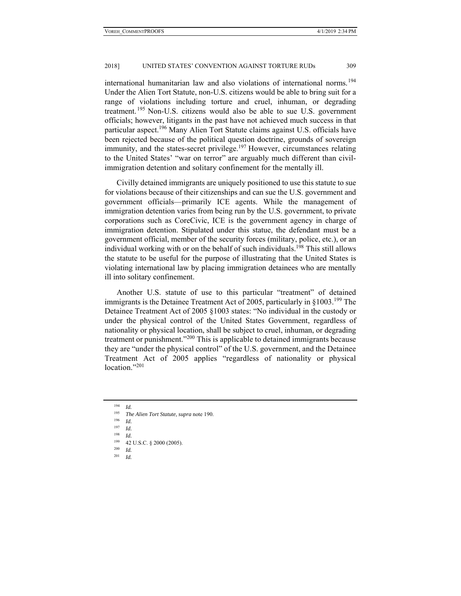international humanitarian law and also violations of international norms.<sup>194</sup> Under the Alien Tort Statute, non-U.S. citizens would be able to bring suit for a range of violations including torture and cruel, inhuman, or degrading treatment.  $195$  Non-U.S. citizens would also be able to sue U.S. government officials; however, litigants in the past have not achieved much success in that particular aspect.196 Many Alien Tort Statute claims against U.S. officials have been rejected because of the political question doctrine, grounds of sovereign immunity, and the states-secret privilege.<sup>197</sup> However, circumstances relating to the United States' "war on terror" are arguably much different than civilimmigration detention and solitary confinement for the mentally ill.

Civilly detained immigrants are uniquely positioned to use this statute to sue for violations because of their citizenships and can sue the U.S. government and government officials—primarily ICE agents. While the management of immigration detention varies from being run by the U.S. government, to private corporations such as CoreCivic, ICE is the government agency in charge of immigration detention. Stipulated under this statue, the defendant must be a government official, member of the security forces (military, police, etc.), or an individual working with or on the behalf of such individuals.<sup>198</sup> This still allows the statute to be useful for the purpose of illustrating that the United States is violating international law by placing immigration detainees who are mentally ill into solitary confinement.

Another U.S. statute of use to this particular "treatment" of detained immigrants is the Detainee Treatment Act of 2005, particularly in  $\S 1003$ <sup>199</sup> The Detainee Treatment Act of 2005 §1003 states: "No individual in the custody or under the physical control of the United States Government, regardless of nationality or physical location, shall be subject to cruel, inhuman, or degrading treatment or punishment.<sup>3200</sup> This is applicable to detained immigrants because they are "under the physical control" of the U.S. government, and the Detainee Treatment Act of 2005 applies "regardless of nationality or physical location."<sup>201</sup>

<sup>194</sup> *Id.* 

- 
- <sup>197</sup> *Id.*

- 
- <sup>201</sup> *Id.*

<sup>195</sup> *The Alien Tort Statute*, *supra* note 190. 196 *Id.* 

<sup>198</sup> *Id.*

<sup>199 42</sup> U.S.C. § 2000 (2005). 200 *Id.*